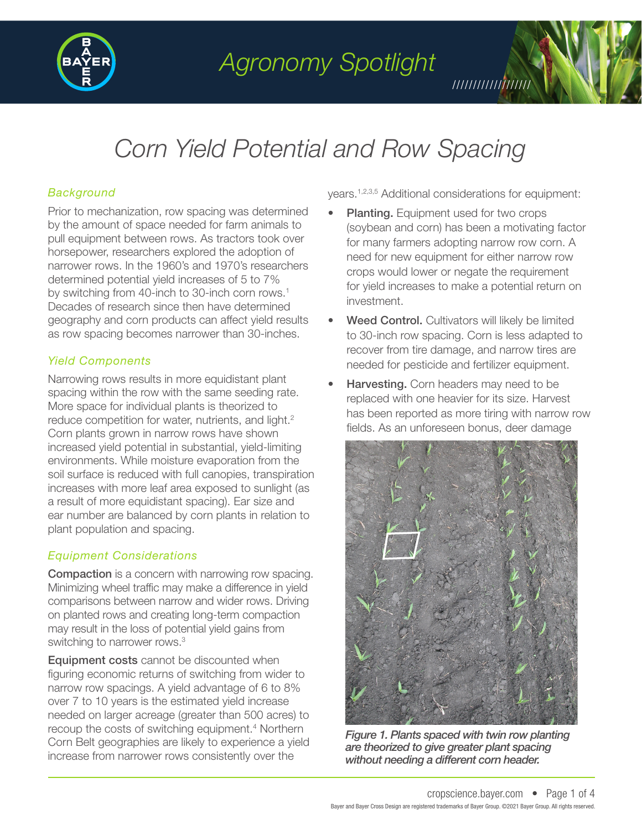

*Agronomy Spotlight*

# *Corn Yield Potential and Row Spacing*

### *Background*

Prior to mechanization, row spacing was determined by the amount of space needed for farm animals to pull equipment between rows. As tractors took over horsepower, researchers explored the adoption of narrower rows. In the 1960's and 1970's researchers determined potential yield increases of 5 to 7% by switching from 40-inch to 30-inch corn rows.<sup>1</sup> Decades of research since then have determined geography and corn products can affect yield results as row spacing becomes narrower than 30-inches.

### *Yield Components*

Narrowing rows results in more equidistant plant spacing within the row with the same seeding rate. More space for individual plants is theorized to reduce competition for water, nutrients, and light.<sup>2</sup> Corn plants grown in narrow rows have shown increased yield potential in substantial, yield-limiting environments. While moisture evaporation from the soil surface is reduced with full canopies, transpiration increases with more leaf area exposed to sunlight (as a result of more equidistant spacing). Ear size and ear number are balanced by corn plants in relation to plant population and spacing.

### *Equipment Considerations*

Compaction is a concern with narrowing row spacing. Minimizing wheel traffic may make a difference in yield comparisons between narrow and wider rows. Driving on planted rows and creating long-term compaction may result in the loss of potential yield gains from switching to narrower rows.<sup>3</sup>

Equipment costs cannot be discounted when figuring economic returns of switching from wider to narrow row spacings. A yield advantage of 6 to 8% over 7 to 10 years is the estimated yield increase needed on larger acreage (greater than 500 acres) to recoup the costs of switching equipment.<sup>4</sup> Northern Corn Belt geographies are likely to experience a yield increase from narrower rows consistently over the

years.1,2,3,5 Additional considerations for equipment:

- Planting. Equipment used for two crops (soybean and corn) has been a motivating factor for many farmers adopting narrow row corn. A need for new equipment for either narrow row crops would lower or negate the requirement for yield increases to make a potential return on investment.
- Weed Control. Cultivators will likely be limited to 30-inch row spacing. Corn is less adapted to recover from tire damage, and narrow tires are needed for pesticide and fertilizer equipment.
- **Harvesting.** Corn headers may need to be replaced with one heavier for its size. Harvest has been reported as more tiring with narrow row fields. As an unforeseen bonus, deer damage



*Figure 1. Plants spaced with twin row planting are theorized to give greater plant spacing without needing a different corn header.*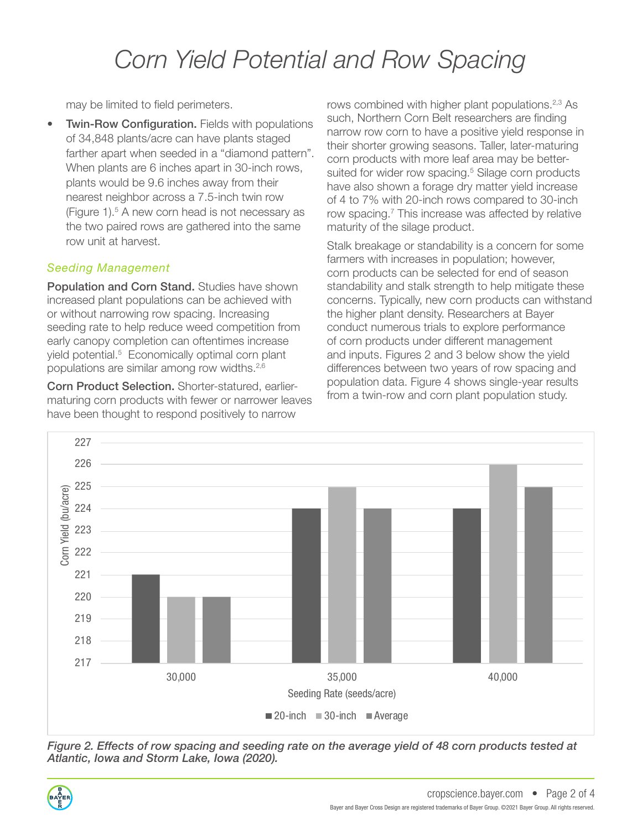## *Corn Yield Potential and Row Spacing*

may be limited to field perimeters.

• Twin-Row Configuration. Fields with populations of 34,848 plants/acre can have plants staged farther apart when seeded in a "diamond pattern". When plants are 6 inches apart in 30-inch rows, plants would be 9.6 inches away from their nearest neighbor across a 7.5-inch twin row (Figure 1).<sup>5</sup> A new corn head is not necessary as the two paired rows are gathered into the same row unit at harvest.

## *Seeding Management*

Population and Corn Stand. Studies have shown increased plant populations can be achieved with or without narrowing row spacing. Increasing seeding rate to help reduce weed competition from early canopy completion can oftentimes increase yield potential.<sup>5</sup> Economically optimal corn plant populations are similar among row widths.2,6

Corn Product Selection. Shorter-statured, earliermaturing corn products with fewer or narrower leaves have been thought to respond positively to narrow

rows combined with higher plant populations.<sup>2,3</sup> As such, Northern Corn Belt researchers are finding narrow row corn to have a positive yield response in their shorter growing seasons. Taller, later-maturing corn products with more leaf area may be bettersuited for wider row spacing.<sup>5</sup> Silage corn products have also shown a forage dry matter yield increase of 4 to 7% with 20-inch rows compared to 30-inch row spacing.<sup>7</sup> This increase was affected by relative maturity of the silage product.

Stalk breakage or standability is a concern for some farmers with increases in population; however, corn products can be selected for end of season standability and stalk strength to help mitigate these concerns. Typically, new corn products can withstand the higher plant density. Researchers at Bayer conduct numerous trials to explore performance of corn products under different management and inputs. Figures 2 and 3 below show the yield differences between two years of row spacing and population data. Figure 4 shows single-year results from a twin-row and corn plant population study.



*Figure 2. Effects of row spacing and seeding rate on the average yield of 48 corn products tested at Atlantic, Iowa and Storm Lake, Iowa (2020).* 

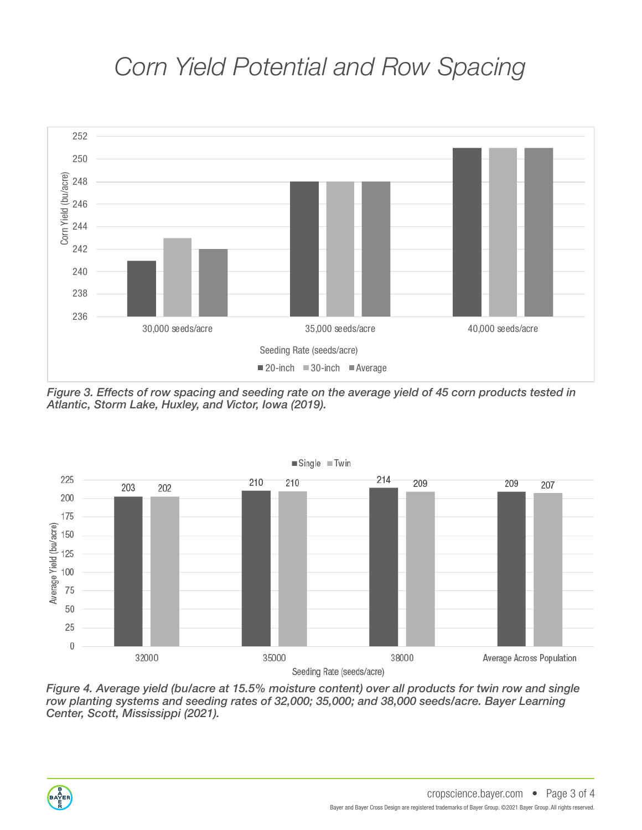## *Corn Yield Potential and Row Spacing*



*Figure 3. Effects of row spacing and seeding rate on the average yield of 45 corn products tested in Atlantic, Storm Lake, Huxley, and Victor, Iowa (2019).* 



*Figure 4. Average yield (bu/acre at 15.5% moisture content) over all products for twin row and single row planting systems and seeding rates of 32,000; 35,000; and 38,000 seeds/acre. Bayer Learning Center, Scott, Mississippi (2021).*